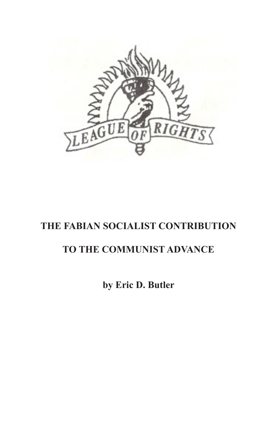

## **THE FABIAN SOCIALIST CONTRIBUTION**

# **TO THE COMMUNIST ADVANCE**

**by Eric D. Butler**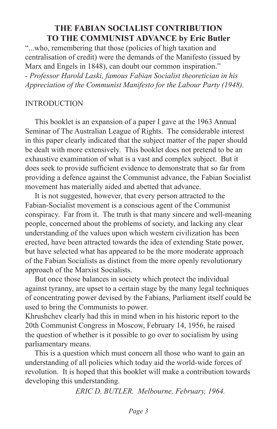### **THE FABIAN SOCIALIST CONTRIBUTION TO THE COMMUNIST ADVANCE by Eric Butler**

"...who, remembering that those (policies of high taxation and centralisation of credit) were the demands of the Manifesto (issued by Marx and Engels in 1848), can doubt our common inspiration." *- Professor Harold Laski, famous Fabian Socialist theoretician in his Appreciation of the Communist Manifesto for the Labour Party (1948).*

#### INTRODUCTION

 This booklet is an expansion of a paper I gave at the 1963 Annual Seminar of The Australian League of Rights. The considerable interest in this paper clearly indicated that the subject matter of the paper should be dealt with more extensively. This booklet does not pretend to be an exhaustive examination of what is a vast and complex subject. But it does seek to provide sufficient evidence to demonstrate that so far from providing a defence against the Communist advance, the Fabian Socialist movement has materially aided and abetted that advance.

 It is not suggested, however, that every person attracted to the Fabian-Socialist movement is a conscious agent of the Communist conspiracy. Far from it. The truth is that many sincere and well-meaning people, concerned about the problems of society, and lacking any clear understanding of the values upon which western civilization has been erected, have been attracted towards the idea of extending State power, but have selected what has appeared to be the more moderate approach of the Fabian Socialists as distinct from the more openly revolutionary approach of the Marxist Socialists.

 But once those balances in society which protect the individual against tyranny, are upset to a certain stage by the many legal techniques of concentrating power devised by the Fabians, Parliament itself could be used to bring the Communists to power.

Khrushchev clearly had this in mind when in his historic report to the 20th Communist Congress in Moscow, February 14, 1956, he raised the question of whether is it possible to go over to socialism by using parliamentary means.

 This is a question which must concern all those who want to gain an understanding of all policies which today aid the world-wide forces of revolution. It is hoped that this booklet will make a contribution towards developing this understanding.

 *ERIC D. BUTLER. Melbourne, February, 1964.*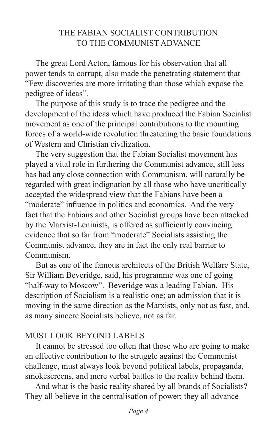#### THE FABIAN SOCIALIST CONTRIBUTION TO THE COMMUNIST ADVANCE

 The great Lord Acton, famous for his observation that all power tends to corrupt, also made the penetrating statement that "Few discoveries are more irritating than those which expose the pedigree of ideas".

 The purpose of this study is to trace the pedigree and the development of the ideas which have produced the Fabian Socialist movement as one of the principal contributions to the mounting forces of a world-wide revolution threatening the basic foundations of Western and Christian civilization.

 The very suggestion that the Fabian Socialist movement has played a vital role in furthering the Communist advance, still less has had any close connection with Communism, will naturally be regarded with great indignation by all those who have uncritically accepted the widespread view that the Fabians have been a "moderate" influence in politics and economics. And the very fact that the Fabians and other Socialist groups have been attacked by the Marxist-Leninists, is offered as sufficiently convincing evidence that so far from "moderate" Socialists assisting the Communist advance, they are in fact the only real barrier to Communism.

 But as one of the famous architects of the British Welfare State, Sir William Beveridge, said, his programme was one of going "half-way to Moscow". Beveridge was a leading Fabian. His description of Socialism is a realistic one; an admission that it is moving in the same direction as the Marxists, only not as fast, and, as many sincere Socialists believe, not as far.

#### MUST LOOK BEYOND LABELS

 It cannot be stressed too often that those who are going to make an effective contribution to the struggle against the Communist challenge, must always look beyond political labels, propaganda, smokescreens, and mere verbal battles to the reality behind them.

 And what is the basic reality shared by all brands of Socialists? They all believe in the centralisation of power; they all advance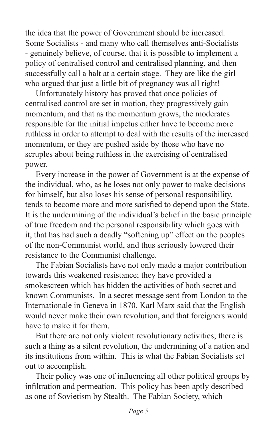the idea that the power of Government should be increased. Some Socialists - and many who call themselves anti-Socialists - genuinely believe, of course, that it is possible to implement a policy of centralised control and centralised planning, and then successfully call a halt at a certain stage. They are like the girl who argued that just a little bit of pregnancy was all right!

 Unfortunately history has proved that once policies of centralised control are set in motion, they progressively gain momentum, and that as the momentum grows, the moderates responsible for the initial impetus either have to become more ruthless in order to attempt to deal with the results of the increased momentum, or they are pushed aside by those who have no scruples about being ruthless in the exercising of centralised power.

 Every increase in the power of Government is at the expense of the individual, who, as he loses not only power to make decisions for himself, but also loses his sense of personal responsibility, tends to become more and more satisfied to depend upon the State. It is the undermining of the individual's belief in the basic principle of true freedom and the personal responsibility which goes with it, that has had such a deadly "softening up" effect on the peoples of the non-Communist world, and thus seriously lowered their resistance to the Communist challenge.

 The Fabian Socialists have not only made a major contribution towards this weakened resistance; they have provided a smokescreen which has hidden the activities of both secret and known Communists. In a secret message sent from London to the Internationale in Geneva in 1870, Karl Marx said that the English would never make their own revolution, and that foreigners would have to make it for them.

 But there are not only violent revolutionary activities; there is such a thing as a silent revolution, the undermining of a nation and its institutions from within. This is what the Fabian Socialists set out to accomplish.

 Their policy was one of influencing all other political groups by infiltration and permeation. This policy has been aptly described as one of Sovietism by Stealth. The Fabian Society, which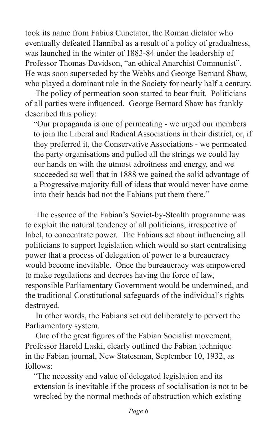took its name from Fabius Cunctator, the Roman dictator who eventually defeated Hannibal as a result of a policy of gradualness, was launched in the winter of 1883-84 under the leadership of Professor Thomas Davidson, "an ethical Anarchist Communist". He was soon superseded by the Webbs and George Bernard Shaw, who played a dominant role in the Society for nearly half a century.

 The policy of permeation soon started to bear fruit. Politicians of all parties were influenced. George Bernard Shaw has frankly described this policy:

"Our propaganda is one of permeating - we urged our members to join the Liberal and Radical Associations in their district, or, if they preferred it, the Conservative Associations - we permeated the party organisations and pulled all the strings we could lay our hands on with the utmost adroitness and energy, and we succeeded so well that in 1888 we gained the solid advantage of a Progressive majority full of ideas that would never have come into their heads had not the Fabians put them there."

 The essence of the Fabian's Soviet-by-Stealth programme was to exploit the natural tendency of all politicians, irrespective of label, to concentrate power. The Fabians set about influencing all politicians to support legislation which would so start centralising power that a process of delegation of power to a bureaucracy would become inevitable. Once the bureaucracy was empowered to make regulations and decrees having the force of law, responsible Parliamentary Government would be undermined, and the traditional Constitutional safeguards of the individual's rights destroyed.

 In other words, the Fabians set out deliberately to pervert the Parliamentary system.

 One of the great figures of the Fabian Socialist movement, Professor Harold Laski, clearly outlined the Fabian technique in the Fabian journal, New Statesman, September 10, 1932, as follows:

"The necessity and value of delegated legislation and its extension is inevitable if the process of socialisation is not to be wrecked by the normal methods of obstruction which existing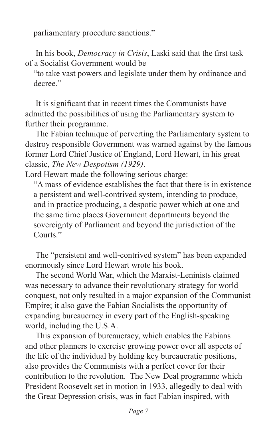parliamentary procedure sanctions."

 In his book, *Democracy in Crisis*, Laski said that the first task of a Socialist Government would be

"to take vast powers and legislate under them by ordinance and decree."

 It is significant that in recent times the Communists have admitted the possibilities of using the Parliamentary system to further their programme.

 The Fabian technique of perverting the Parliamentary system to destroy responsible Government was warned against by the famous former Lord Chief Justice of England, Lord Hewart, in his great classic, *The New Despotism (1929)*.

Lord Hewart made the following serious charge:

"A mass of evidence establishes the fact that there is in existence a persistent and well-contrived system, intending to produce, and in practice producing, a despotic power which at one and the same time places Government departments beyond the sovereignty of Parliament and beyond the jurisdiction of the Courts<sup>"</sup>

 The "persistent and well-contrived system" has been expanded enormously since Lord Hewart wrote his book.

 The second World War, which the Marxist-Leninists claimed was necessary to advance their revolutionary strategy for world conquest, not only resulted in a major expansion of the Communist Empire; it also gave the Fabian Socialists the opportunity of expanding bureaucracy in every part of the English-speaking world, including the U.S.A.

 This expansion of bureaucracy, which enables the Fabians and other planners to exercise growing power over all aspects of the life of the individual by holding key bureaucratic positions, also provides the Communists with a perfect cover for their contribution to the revolution. The New Deal programme which President Roosevelt set in motion in 1933, allegedly to deal with the Great Depression crisis, was in fact Fabian inspired, with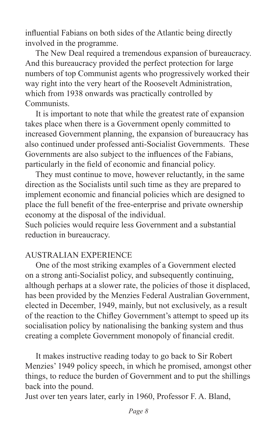influential Fabians on both sides of the Atlantic being directly involved in the programme.

 The New Deal required a tremendous expansion of bureaucracy. And this bureaucracy provided the perfect protection for large numbers of top Communist agents who progressively worked their way right into the very heart of the Roosevelt Administration, which from 1938 onwards was practically controlled by **Communists** 

 It is important to note that while the greatest rate of expansion takes place when there is a Government openly committed to increased Government planning, the expansion of bureaucracy has also continued under professed anti-Socialist Governments. These Governments are also subject to the influences of the Fabians, particularly in the field of economic and financial policy.

 They must continue to move, however reluctantly, in the same direction as the Socialists until such time as they are prepared to implement economic and financial policies which are designed to place the full benefit of the free-enterprise and private ownership economy at the disposal of the individual.

Such policies would require less Government and a substantial reduction in bureaucracy.

#### AUSTRALIAN EXPERIENCE

 One of the most striking examples of a Government elected on a strong anti-Socialist policy, and subsequently continuing, although perhaps at a slower rate, the policies of those it displaced, has been provided by the Menzies Federal Australian Government, elected in December, 1949, mainly, but not exclusively, as a result of the reaction to the Chifley Government's attempt to speed up its socialisation policy by nationalising the banking system and thus creating a complete Government monopoly of financial credit.

 It makes instructive reading today to go back to Sir Robert Menzies' 1949 policy speech, in which he promised, amongst other things, to reduce the burden of Government and to put the shillings back into the pound.

Just over ten years later, early in 1960, Professor F. A. Bland,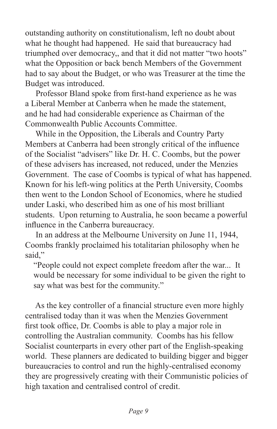outstanding authority on constitutionalism, left no doubt about what he thought had happened. He said that bureaucracy had triumphed over democracy,, and that it did not matter "two hoots" what the Opposition or back bench Members of the Government had to say about the Budget, or who was Treasurer at the time the Budget was introduced.

 Professor Bland spoke from first-hand experience as he was a Liberal Member at Canberra when he made the statement, and he had had considerable experience as Chairman of the Commonwealth Public Accounts Committee.

 While in the Opposition, the Liberals and Country Party Members at Canberra had been strongly critical of the influence of the Socialist "advisers" like Dr. H. C. Coombs, but the power of these advisers has increased, not reduced, under the Menzies Government. The case of Coombs is typical of what has happened. Known for his left-wing politics at the Perth University, Coombs then went to the London School of Economics, where he studied under Laski, who described him as one of his most brilliant students. Upon returning to Australia, he soon became a powerful influence in the Canberra bureaucracy.

 In an address at the Melbourne University on June 11, 1944, Coombs frankly proclaimed his totalitarian philosophy when he said,"

"People could not expect complete freedom after the war... It would be necessary for some individual to be given the right to say what was best for the community."

 As the key controller of a financial structure even more highly centralised today than it was when the Menzies Government first took office, Dr. Coombs is able to play a major role in controlling the Australian community. Coombs has his fellow Socialist counterparts in every other part of the English-speaking world. These planners are dedicated to building bigger and bigger bureaucracies to control and run the highly-centralised economy they are progressively creating with their Communistic policies of high taxation and centralised control of credit.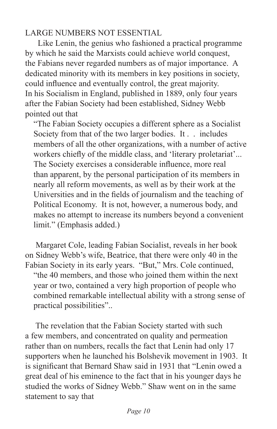### LARGE NUMBERS NOT ESSENTIAL

 Like Lenin, the genius who fashioned a practical programme by which he said the Marxists could achieve world conquest, the Fabians never regarded numbers as of major importance. A dedicated minority with its members in key positions in society, could influence and eventually control, the great majority. In his Socialism in England, published in 1889, only four years after the Fabian Society had been established, Sidney Webb pointed out that

"The Fabian Society occupies a different sphere as a Socialist Society from that of the two larger bodies. It . . includes members of all the other organizations, with a number of active workers chiefly of the middle class, and 'literary proletariat'... The Society exercises a considerable influence, more real than apparent, by the personal participation of its members in nearly all reform movements, as well as by their work at the Universities and in the fields of journalism and the teaching of Political Economy. It is not, however, a numerous body, and makes no attempt to increase its numbers beyond a convenient limit." (Emphasis added.)

 Margaret Cole, leading Fabian Socialist, reveals in her book on Sidney Webb's wife, Beatrice, that there were only 40 in the Fabian Society in its early years. "But," Mrs. Cole continued, "the 40 members, and those who joined them within the next year or two, contained a very high proportion of people who combined remarkable intellectual ability with a strong sense of practical possibilities"..

 The revelation that the Fabian Society started with such a few members, and concentrated on quality and permeation rather than on numbers, recalls the fact that Lenin had only 17 supporters when he launched his Bolshevik movement in 1903. It is significant that Bernard Shaw said in 1931 that "Lenin owed a great deal of his eminence to the fact that in his younger days he studied the works of Sidney Webb." Shaw went on in the same statement to say that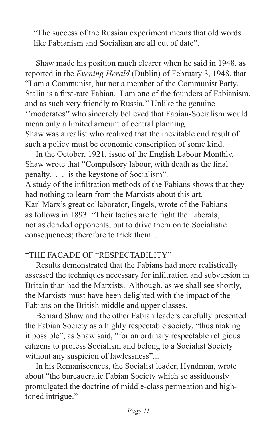"The success of the Russian experiment means that old words like Fabianism and Socialism are all out of date".

 Shaw made his position much clearer when he said in 1948, as reported in the *Evening Herald* (Dublin) of February 3, 1948, that "I am a Communist, but not a member of the Communist Party. Stalin is a first-rate Fabian. I am one of the founders of Fabianism, and as such very friendly to Russia.'' Unlike the genuine ''moderates'' who sincerely believed that Fabian-Socialism would mean only a limited amount of central planning. Shaw was a realist who realized that the inevitable end result of such a policy must be economic conscription of some kind.

 In the October, 1921, issue of the English Labour Monthly, Shaw wrote that "Compulsory labour, with death as the final penalty. . . is the keystone of Socialism". A study of the infiltration methods of the Fabians shows that they had nothing to learn from the Marxists about this art. Karl Marx's great collaborator, Engels, wrote of the Fabians as follows in 1893: "Their tactics are to fight the Liberals, not as derided opponents, but to drive them on to Socialistic consequences; therefore to trick them...

#### "THE FACADE OF "RESPECTABILITY"

 Results demonstrated that the Fabians had more realistically assessed the techniques necessary for infiltration and subversion in Britain than had the Marxists. Although, as we shall see shortly, the Marxists must have been delighted with the impact of the Fabians on the British middle and upper classes.

 Bernard Shaw and the other Fabian leaders carefully presented the Fabian Society as a highly respectable society, "thus making it possible", as Shaw said, "for an ordinary respectable religious citizens to profess Socialism and belong to a Socialist Society without any suspicion of lawlessness"...

 In his Remaniscences, the Socialist leader, Hyndman, wrote about "the bureaucratic Fabian Society which so assiduously promulgated the doctrine of middle-class permeation and hightoned intrigue."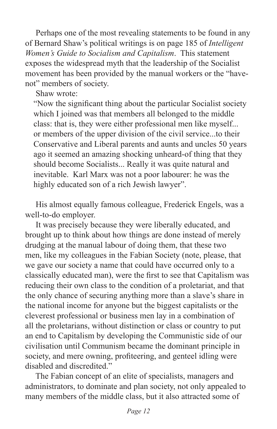Perhaps one of the most revealing statements to be found in any of Bernard Shaw's political writings is on page 185 of *Intelligent Women's Guide to Socialism and Capitalism*. This statement exposes the widespread myth that the leadership of the Socialist movement has been provided by the manual workers or the "havenot" members of society.

Shaw wrote:

"Now the significant thing about the particular Socialist society which I joined was that members all belonged to the middle class: that is, they were either professional men like myself... or members of the upper division of the civil service...to their Conservative and Liberal parents and aunts and uncles 50 years ago it seemed an amazing shocking unheard-of thing that they should become Socialists... Really it was quite natural and inevitable. Karl Marx was not a poor labourer: he was the highly educated son of a rich Jewish lawyer".

 His almost equally famous colleague, Frederick Engels, was a well-to-do employer.

 It was precisely because they were liberally educated, and brought up to think about how things are done instead of merely drudging at the manual labour of doing them, that these two men, like my colleagues in the Fabian Society (note, please, that we gave our society a name that could have occurred only to a classically educated man), were the first to see that Capitalism was reducing their own class to the condition of a proletariat, and that the only chance of securing anything more than a slave's share in the national income for anyone but the biggest capitalists or the cleverest professional or business men lay in a combination of all the proletarians, without distinction or class or country to put an end to Capitalism by developing the Communistic side of our civilisation until Communism became the dominant principle in society, and mere owning, profiteering, and genteel idling were disabled and discredited."

 The Fabian concept of an elite of specialists, managers and administrators, to dominate and plan society, not only appealed to many members of the middle class, but it also attracted some of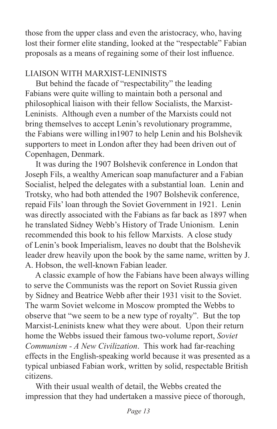those from the upper class and even the aristocracy, who, having lost their former elite standing, looked at the "respectable" Fabian proposals as a means of regaining some of their lost influence.

### LIAISON WITH MARXIST-LENINISTS

 But behind the facade of "respectability" the leading Fabians were quite willing to maintain both a personal and philosophical liaison with their fellow Socialists, the Marxist-Leninists. Although even a number of the Marxists could not bring themselves to accept Lenin's revolutionary programme, the Fabians were willing in1907 to help Lenin and his Bolshevik supporters to meet in London after they had been driven out of Copenhagen, Denmark.

 It was during the 1907 Bolshevik conference in London that Joseph Fils, a wealthy American soap manufacturer and a Fabian Socialist, helped the delegates with a substantial loan. Lenin and Trotsky, who had both attended the 1907 Bolshevik conference, repaid Fils' loan through the Soviet Government in 1921. Lenin was directly associated with the Fabians as far back as 1897 when he translated Sidney Webb's History of Trade Unionism. Lenin recommended this book to his fellow Marxists. A close study of Lenin's book Imperialism, leaves no doubt that the Bolshevik leader drew heavily upon the book by the same name, written by J. A. Hobson, the well-known Fabian leader.

 A classic example of how the Fabians have been always willing to serve the Communists was the report on Soviet Russia given by Sidney and Beatrice Webb after their 1931 visit to the Soviet. The warm Soviet welcome in Moscow prompted the Webbs to observe that "we seem to be a new type of royalty". But the top Marxist-Leninists knew what they were about. Upon their return home the Webbs issued their famous two-volume report, *Soviet Communism - A New Civilization*. This work had far-reaching effects in the English-speaking world because it was presented as a typical unbiased Fabian work, written by solid, respectable British citizens.

 With their usual wealth of detail, the Webbs created the impression that they had undertaken a massive piece of thorough,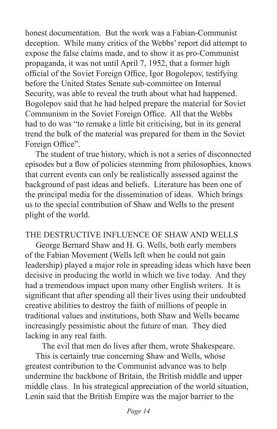honest documentation. But the work was a Fabian-Communist deception. While many critics of the Webbs' report did attempt to expose the false claims made, and to show it as pro-Communist propaganda, it was not until April 7, 1952, that a former high official of the Soviet Foreign Office, Igor Bogolepov, testifying before the United States Senate sub-committee on Internal Security, was able to reveal the truth about what had happened. Bogolepov said that he had helped prepare the material for Soviet Communism in the Soviet Foreign Office. All that the Webbs had to do was "to remake a little bit criticising, but in its general trend the bulk of the material was prepared for them in the Soviet Foreign Office".

 The student of true history, which is not a series of disconnected episodes but a flow of policies stemming from philosophies, knows that current events can only be realistically assessed against the background of past ideas and beliefs. Literature has been one of the principal media for the dissemination of ideas. Which brings us to the special contribution of Shaw and Wells to the present plight of the world.

#### THE DESTRUCTIVE INFLUENCE OF SHAW AND WELLS

 George Bernard Shaw and H. G. Wells, both early members of the Fabian Movement (Wells left when he could not gain leadership) played a major role in spreading ideas which have been decisive in producing the world in which we live today. And they had a tremendous impact upon many other English writers. It is significant that after spending all their lives using their undoubted creative abilities to destroy the faith of millions of people in traditional values and institutions, both Shaw and Wells became increasingly pessimistic about the future of man. They died lacking in any real faith.

The evil that men do lives after them, wrote Shakespeare.

 This is certainly true concerning Shaw and Wells, whose greatest contribution to the Communist advance was to help undermine the backbone of Britain, the British middle and upper middle class. In his strategical appreciation of the world situation, Lenin said that the British Empire was the major barrier to the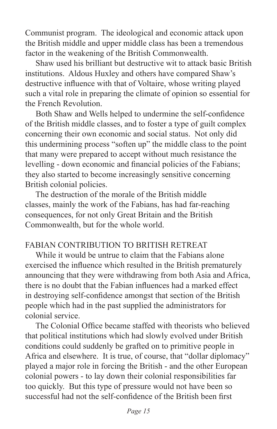Communist program. The ideological and economic attack upon the British middle and upper middle class has been a tremendous factor in the weakening of the British Commonwealth.

 Shaw used his brilliant but destructive wit to attack basic British institutions. Aldous Huxley and others have compared Shaw's destructive influence with that of Voltaire, whose writing played such a vital role in preparing the climate of opinion so essential for the French Revolution.

 Both Shaw and Wells helped to undermine the self-confidence of the British middle classes, and to foster a type of guilt complex concerning their own economic and social status. Not only did this undermining process "soften up" the middle class to the point that many were prepared to accept without much resistance the levelling - down economic and financial policies of the Fabians; they also started to become increasingly sensitive concerning British colonial policies.

 The destruction of the morale of the British middle classes, mainly the work of the Fabians, has had far-reaching consequences, for not only Great Britain and the British Commonwealth, but for the whole world.

#### FABIAN CONTRIBUTION TO BRITISH RETREAT

 While it would be untrue to claim that the Fabians alone exercised the influence which resulted in the British prematurely announcing that they were withdrawing from both Asia and Africa, there is no doubt that the Fabian influences had a marked effect in destroying self-confidence amongst that section of the British people which had in the past supplied the administrators for colonial service.

 The Colonial Office became staffed with theorists who believed that political institutions which had slowly evolved under British conditions could suddenly be grafted on to primitive people in Africa and elsewhere. It is true, of course, that "dollar diplomacy" played a major role in forcing the British - and the other European colonial powers - to lay down their colonial responsibilities far too quickly. But this type of pressure would not have been so successful had not the self-confidence of the British been first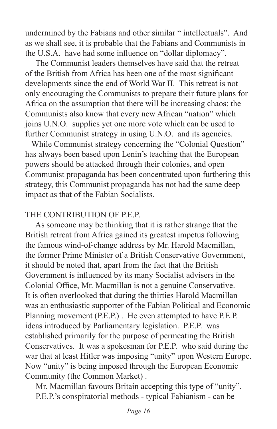undermined by the Fabians and other similar " intellectuals". And as we shall see, it is probable that the Fabians and Communists in the U.S.A. have had some influence on "dollar diplomacy".

 The Communist leaders themselves have said that the retreat of the British from Africa has been one of the most significant developments since the end of World War II. This retreat is not only encouraging the Communists to prepare their future plans for Africa on the assumption that there will be increasing chaos; the Communists also know that every new African "nation" which joins U.N.O. supplies yet one more vote which can be used to further Communist strategy in using U.N.O. and its agencies.

 While Communist strategy concerning the "Colonial Question" has always been based upon Lenin's teaching that the European powers should be attacked through their colonies, and open Communist propaganda has been concentrated upon furthering this strategy, this Communist propaganda has not had the same deep impact as that of the Fabian Socialists.

#### THE CONTRIBUTION OF P.E.P.

 As someone may be thinking that it is rather strange that the British retreat from Africa gained its greatest impetus following the famous wind-of-change address by Mr. Harold Macmillan, the former Prime Minister of a British Conservative Government, it should be noted that, apart from the fact that the British Government is influenced by its many Socialist advisers in the Colonial Office, Mr. Macmillan is not a genuine Conservative. It is often overlooked that during the thirties Harold Macmillan was an enthusiastic supporter of the Fabian Political and Economic Planning movement (P.E.P.) . He even attempted to have P.E.P. ideas introduced by Parliamentary legislation. P.E.P. was established primarily for the purpose of permeating the British Conservatives. It was a spokesman for P.E.P. who said during the war that at least Hitler was imposing "unity" upon Western Europe. Now "unity" is being imposed through the European Economic Community (the Common Market) .

 Mr. Macmillan favours Britain accepting this type of "unity". P.E.P.'s conspiratorial methods - typical Fabianism - can be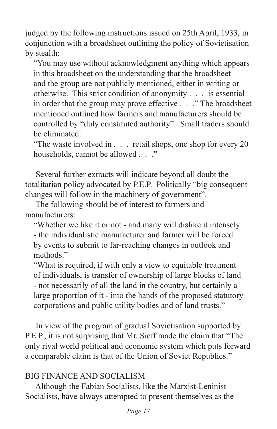judged by the following instructions issued on 25th April, 1933, in conjunction with a broadsheet outlining the policy of Sovietisation by stealth:

"You may use without acknowledgment anything which appears in this broadsheet on the understanding that the broadsheet and the group are not publicly mentioned, either in writing or otherwise. This strict condition of anonymity . . . is essential in order that the group may prove effective . . ." The broadsheet mentioned outlined how farmers and manufacturers should be controlled by "duly constituted authority". Small traders should be eliminated:

"The waste involved in . . . retail shops, one shop for every 20 households, cannot be allowed . . ."

 Several further extracts will indicate beyond all doubt the totalitarian policy advocated by P.E.P. Politically "big consequent changes will follow in the machinery of government".

 The following should be of interest to farmers and manufacturers:

"Whether we like it or not - and many will dislike it intensely - the individualistic manufacturer and farmer will be forced by events to submit to far-reaching changes in outlook and methods."

"What is required, if with only a view to equitable treatment of individuals, is transfer of ownership of large blocks of land - not necessarily of all the land in the country, but certainly a large proportion of it - into the hands of the proposed statutory corporations and public utility bodies and of land trusts."

 In view of the program of gradual Sovietisation supported by P.E.P., it is not surprising that Mr. Sieff made the claim that "The only rival world political and economic system which puts forward a comparable claim is that of the Union of Soviet Republics."

#### BIG FINANCE AND SOCIALISM

 Although the Fabian Socialists, like the Marxist-Leninist Socialists, have always attempted to present themselves as the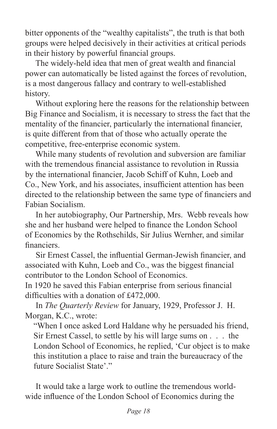bitter opponents of the "wealthy capitalists", the truth is that both groups were helped decisively in their activities at critical periods in their history by powerful financial groups.

 The widely-held idea that men of great wealth and financial power can automatically be listed against the forces of revolution, is a most dangerous fallacy and contrary to well-established history.

 Without exploring here the reasons for the relationship between Big Finance and Socialism, it is necessary to stress the fact that the mentality of the financier, particularly the international financier, is quite different from that of those who actually operate the competitive, free-enterprise economic system.

 While many students of revolution and subversion are familiar with the tremendous financial assistance to revolution in Russia by the international financier, Jacob Schiff of Kuhn, Loeb and Co., New York, and his associates, insufficient attention has been directed to the relationship between the same type of financiers and Fabian Socialism.

 In her autobiography, Our Partnership, Mrs. Webb reveals how she and her husband were helped to finance the London School of Economics by the Rothschilds, Sir Julius Wernher, and similar financiers.

 Sir Ernest Cassel, the influential German-Jewish financier, and associated with Kuhn, Loeb and Co., was the biggest financial contributor to the London School of Economics.

In 1920 he saved this Fabian enterprise from serious financial difficulties with a donation of £472,000.

 In *The Quarterly Review* for January, 1929, Professor J. H. Morgan, K.C., wrote:

"When I once asked Lord Haldane why he persuaded his friend, Sir Ernest Cassel, to settle by his will large sums on . . . the London School of Economics, he replied, 'Cur object is to make this institution a place to raise and train the bureaucracy of the future Socialist State'."

 It would take a large work to outline the tremendous worldwide influence of the London School of Economics during the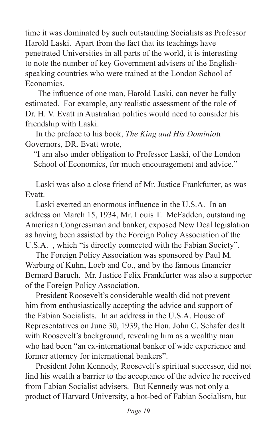time it was dominated by such outstanding Socialists as Professor Harold Laski. Apart from the fact that its teachings have penetrated Universities in all parts of the world, it is interesting to note the number of key Government advisers of the Englishspeaking countries who were trained at the London School of Economics.

 The influence of one man, Harold Laski, can never be fully estimated. For example, any realistic assessment of the role of Dr. H. V. Evatt in Australian politics would need to consider his friendship with Laski.

 In the preface to his book, *The King and His Dominio*n Governors, DR. Evatt wrote,

"I am also under obligation to Professor Laski, of the London School of Economics, for much encouragement and advice."

 Laski was also a close friend of Mr. Justice Frankfurter, as was **Evatt** 

 Laski exerted an enormous influence in the U.S.A. In an address on March 15, 1934, Mr. Louis T. McFadden, outstanding American Congressman and banker, exposed New Deal legislation as having been assisted by the Foreign Policy Association of the U.S.A. , which "is directly connected with the Fabian Society".

 The Foreign Policy Association was sponsored by Paul M. Warburg of Kuhn, Loeb and Co., and by the famous financier Bernard Baruch. Mr. Justice Felix Frankfurter was also a supporter of the Foreign Policy Association.

 President Roosevelt's considerable wealth did not prevent him from enthusiastically accepting the advice and support of the Fabian Socialists. In an address in the U.S.A. House of Representatives on June 30, 1939, the Hon. John C. Schafer dealt with Roosevelt's background, revealing him as a wealthy man who had been "an ex-international banker of wide experience and former attorney for international bankers".

 President John Kennedy, Roosevelt's spiritual successor, did not find his wealth a barrier to the acceptance of the advice he received from Fabian Socialist advisers. But Kennedy was not only a product of Harvard University, a hot-bed of Fabian Socialism, but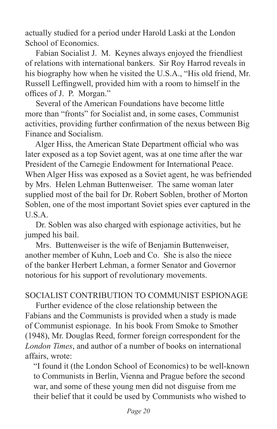actually studied for a period under Harold Laski at the London School of Economics.

 Fabian Socialist J. M. Keynes always enjoyed the friendliest of relations with international bankers. Sir Roy Harrod reveals in his biography how when he visited the U.S.A., "His old friend, Mr. Russell Leffingwell, provided him with a room to himself in the offices of J. P. Morgan."

 Several of the American Foundations have become little more than "fronts" for Socialist and, in some cases, Communist activities, providing further confirmation of the nexus between Big Finance and Socialism.

 Alger Hiss, the American State Department official who was later exposed as a top Soviet agent, was at one time after the war President of the Carnegie Endowment for International Peace. When Alger Hiss was exposed as a Soviet agent, he was befriended by Mrs. Helen Lehman Buttenweiser. The same woman later supplied most of the bail for Dr. Robert Soblen, brother of Morton Soblen, one of the most important Soviet spies ever captured in the U.S.A.

 Dr. Soblen was also charged with espionage activities, but he jumped his bail.

 Mrs. Buttenweiser is the wife of Benjamin Buttenweiser, another member of Kuhn, Loeb and Co. She is also the niece of the banker Herbert Lehman, a former Senator and Governor notorious for his support of revolutionary movements.

#### SOCIALIST CONTRIBUTION TO COMMUNIST ESPIONAGE

 Further evidence of the close relationship between the Fabians and the Communists is provided when a study is made of Communist espionage. In his book From Smoke to Smother (1948), Mr. Douglas Reed, former foreign correspondent for the *London Times*, and author of a number of books on international affairs, wrote:

"I found it (the London School of Economics) to be well-known to Communists in Berlin, Vienna and Prague before the second war, and some of these young men did not disguise from me their belief that it could be used by Communists who wished to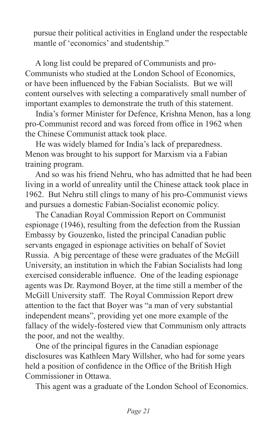pursue their political activities in England under the respectable mantle of 'economics' and studentship."

 A long list could be prepared of Communists and pro-Communists who studied at the London School of Economics, or have been influenced by the Fabian Socialists. But we will content ourselves with selecting a comparatively small number of important examples to demonstrate the truth of this statement.

 India's former Minister for Defence, Krishna Menon, has a long pro-Communist record and was forced from office in 1962 when the Chinese Communist attack took place.

 He was widely blamed for India's lack of preparedness. Menon was brought to his support for Marxism via a Fabian training program.

 And so was his friend Nehru, who has admitted that he had been living in a world of unreality until the Chinese attack took place in 1962. But Nehru still clings to many of his pro-Communist views and pursues a domestic Fabian-Socialist economic policy.

 The Canadian Royal Commission Report on Communist espionage (1946), resulting from the defection from the Russian Embassy by Gouzenko, listed the principal Canadian public servants engaged in espionage activities on behalf of Soviet Russia. A big percentage of these were graduates of the McGill University, an institution in which the Fabian Socialists had long exercised considerable influence. One of the leading espionage agents was Dr. Raymond Boyer, at the time still a member of the McGill University staff. The Royal Commission Report drew attention to the fact that Boyer was "a man of very substantial independent means", providing yet one more example of the fallacy of the widely-fostered view that Communism only attracts the poor, and not the wealthy.

 One of the principal figures in the Canadian espionage disclosures was Kathleen Mary Willsher, who had for some years held a position of confidence in the Office of the British High Commissioner in Ottawa.

This agent was a graduate of the London School of Economics.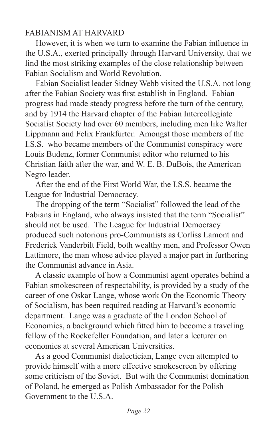### FABIANISM AT HARVARD

 However, it is when we turn to examine the Fabian influence in the U.S.A., exerted principally through Harvard University, that we find the most striking examples of the close relationship between Fabian Socialism and World Revolution.

 Fabian Socialist leader Sidney Webb visited the U.S.A. not long after the Fabian Society was first establish in England. Fabian progress had made steady progress before the turn of the century, and by 1914 the Harvard chapter of the Fabian Intercollegiate Socialist Society had over 60 members, including men like Walter Lippmann and Felix Frankfurter. Amongst those members of the I.S.S. who became members of the Communist conspiracy were Louis Budenz, former Communist editor who returned to his Christian faith after the war, and W. E. B. DuBois, the American Negro leader.

 After the end of the First World War, the I.S.S. became the League for Industrial Democracy.

 The dropping of the term "Socialist" followed the lead of the Fabians in England, who always insisted that the term "Socialist" should not be used. The League for Industrial Democracy produced such notorious pro-Communists as Corliss Lamont and Frederick Vanderbilt Field, both wealthy men, and Professor Owen Lattimore, the man whose advice played a major part in furthering the Communist advance in Asia.

 A classic example of how a Communist agent operates behind a Fabian smokescreen of respectability, is provided by a study of the career of one Oskar Lange, whose work On the Economic Theory of Socialism, has been required reading at Harvard's economic department. Lange was a graduate of the London School of Economics, a background which fitted him to become a traveling fellow of the Rockefeller Foundation, and later a lecturer on economics at several American Universities.

 As a good Communist dialectician, Lange even attempted to provide himself with a more effective smokescreen by offering some criticism of the Soviet. But with the Communist domination of Poland, he emerged as Polish Ambassador for the Polish Government to the U.S.A.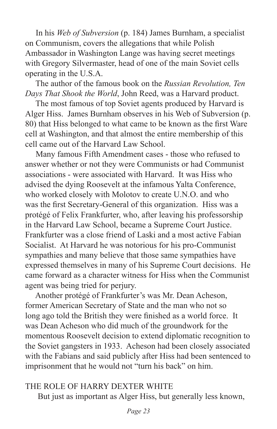In his *Web of Subversion* (p. 184) James Burnham, a specialist on Communism, covers the allegations that while Polish Ambassador in Washington Lange was having secret meetings with Gregory Silvermaster, head of one of the main Soviet cells operating in the U.S.A.

 The author of the famous book on the *Russian Revolution, Ten Days That Shook the World*, John Reed, was a Harvard product.

 The most famous of top Soviet agents produced by Harvard is Alger Hiss. James Burnham observes in his Web of Subversion (p. 80) that Hiss belonged to what came to be known as the first Ware cell at Washington, and that almost the entire membership of this cell came out of the Harvard Law School.

 Many famous Fifth Amendment cases - those who refused to answer whether or not they were Communists or had Communist associations - were associated with Harvard. It was Hiss who advised the dying Roosevelt at the infamous Yalta Conference, who worked closely with Molotov to create U.N.O. and who was the first Secretary-General of this organization. Hiss was a protégé of Felix Frankfurter, who, after leaving his professorship in the Harvard Law School, became a Supreme Court Justice. Frankfurter was a close friend of Laski and a most active Fabian Socialist. At Harvard he was notorious for his pro-Communist sympathies and many believe that those same sympathies have expressed themselves in many of his Supreme Court decisions. He came forward as a character witness for Hiss when the Communist agent was being tried for perjury.

 Another protégé of Frankfurter's was Mr. Dean Acheson, former American Secretary of State and the man who not so long ago told the British they were finished as a world force. It was Dean Acheson who did much of the groundwork for the momentous Roosevelt decision to extend diplomatic recognition to the Soviet gangsters in 1933. Acheson had been closely associated with the Fabians and said publicly after Hiss had been sentenced to imprisonment that he would not "turn his back" on him.

#### THE ROLE OF HARRY DEXTER WHITE

But just as important as Alger Hiss, but generally less known,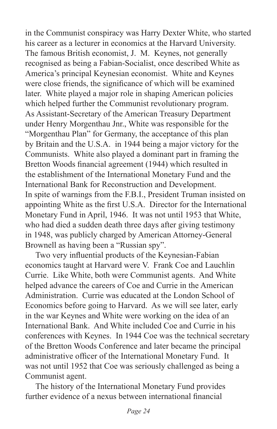in the Communist conspiracy was Harry Dexter White, who started his career as a lecturer in economics at the Harvard University. The famous British economist, J. M. Keynes, not generally recognised as being a Fabian-Socialist, once described White as America's principal Keynesian economist. White and Keynes were close friends, the significance of which will be examined later. White played a major role in shaping American policies which helped further the Communist revolutionary program. As Assistant-Secretary of the American Treasury Department under Henry Morgenthau Jnr., White was responsible for the "Morgenthau Plan" for Germany, the acceptance of this plan by Britain and the U.S.A. in 1944 being a major victory for the Communists. White also played a dominant part in framing the Bretton Woods financial agreement (1944) which resulted in the establishment of the International Monetary Fund and the International Bank for Reconstruction and Development. In spite of warnings from the F.B.I., President Truman insisted on appointing White as the first U.S.A. Director for the International Monetary Fund in April, 1946. It was not until 1953 that White, who had died a sudden death three days after giving testimony in 1948, was publicly charged by American Attorney-General Brownell as having been a "Russian spy".

 Two very influential products of the Keynesian-Fabian economics taught at Harvard were V. Frank Coe and Lauchlin Currie. Like White, both were Communist agents. And White helped advance the careers of Coe and Currie in the American Administration. Currie was educated at the London School of Economics before going to Harvard. As we will see later, early in the war Keynes and White were working on the idea of an International Bank. And White included Coe and Currie in his conferences with Keynes. In 1944 Coe was the technical secretary of the Bretton Woods Conference and later became the principal administrative officer of the International Monetary Fund. It was not until 1952 that Coe was seriously challenged as being a Communist agent.

 The history of the International Monetary Fund provides further evidence of a nexus between international financial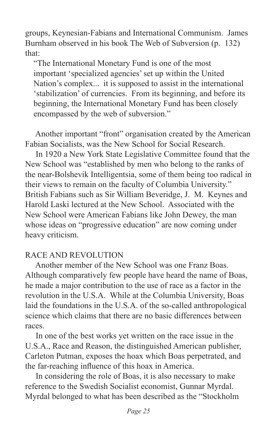groups, Keynesian-Fabians and International Communism. James Burnham observed in his book The Web of Subversion (p. 132) that:

"The International Monetary Fund is one of the most important 'specialized agencies' set up within the United Nation's complex... it is supposed to assist in the international 'stabilization' of currencies. From its beginning, and before its beginning, the International Monetary Fund has been closely encompassed by the web of subversion."

 Another important "front" organisation created by the American Fabian Socialists, was the New School for Social Research.

 In 1920 a New York State Legislative Committee found that the New School was "established by men who belong to the ranks of the near-Bolshevik Intelligentsia, some of them being too radical in their views to remain on the faculty of Columbia University." British Fabians such as Sir William Beveridge, J. M. Keynes and Harold Laski lectured at the New School. Associated with the New School were American Fabians like John Dewey, the man whose ideas on "progressive education" are now coming under heavy criticism.

#### RACE AND REVOLUTION

 Another member of the New School was one Franz Boas. Although comparatively few people have heard the name of Boas, he made a major contribution to the use of race as a factor in the revolution in the U.S.A. While at the Columbia University, Boas laid the foundations in the U.S.A. of the so-called anthropological science which claims that there are no basic differences between races.

 In one of the best works yet written on the race issue in the U.S.A., Race and Reason, the distinguished American publisher, Carleton Putman, exposes the hoax which Boas perpetrated, and the far-reaching influence of this hoax in America.

 In considering the role of Boas, it is also necessary to make reference to the Swedish Socialist economist, Gunnar Myrdal. Myrdal belonged to what has been described as the "Stockholm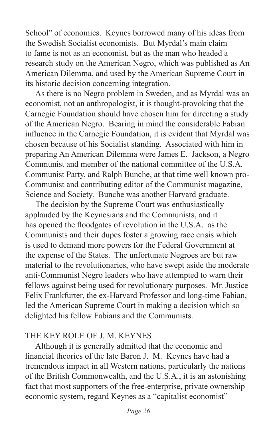School" of economics. Keynes borrowed many of his ideas from the Swedish Socialist economists. But Myrdal's main claim to fame is not as an economist, but as the man who headed a research study on the American Negro, which was published as An American Dilemma, and used by the American Supreme Court in its historic decision concerning integration.

 As there is no Negro problem in Sweden, and as Myrdal was an economist, not an anthropologist, it is thought-provoking that the Carnegie Foundation should have chosen him for directing a study of the American Negro. Bearing in mind the considerable Fabian influence in the Carnegie Foundation, it is evident that Myrdal was chosen because of his Socialist standing. Associated with him in preparing An American Dilemma were James E. Jackson, a Negro Communist and member of the national committee of the U.S.A. Communist Party, and Ralph Bunche, at that time well known pro-Communist and contributing editor of the Communist magazine, Science and Society. Bunche was another Harvard graduate.

 The decision by the Supreme Court was enthusiastically applauded by the Keynesians and the Communists, and it has opened the floodgates of revolution in the U.S.A. as the Communists and their dupes foster a growing race crisis which is used to demand more powers for the Federal Government at the expense of the States. The unfortunate Negroes are but raw material to the revolutionaries, who have swept aside the moderate anti-Communist Negro leaders who have attempted to warn their fellows against being used for revolutionary purposes. Mr. Justice Felix Frankfurter, the ex-Harvard Professor and long-time Fabian, led the American Supreme Court in making a decision which so delighted his fellow Fabians and the Communists.

#### THE KEY ROLE OF J. M. KEYNES

 Although it is generally admitted that the economic and financial theories of the late Baron J. M. Keynes have had a tremendous impact in all Western nations, particularly the nations of the British Commonwealth, and the U.S.A., it is an astonishing fact that most supporters of the free-enterprise, private ownership economic system, regard Keynes as a "capitalist economist"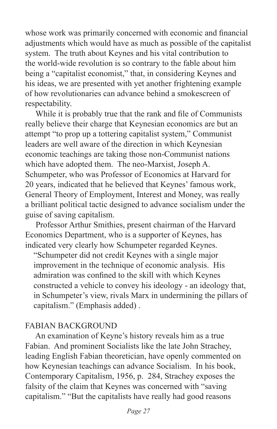whose work was primarily concerned with economic and financial adjustments which would have as much as possible of the capitalist system. The truth about Keynes and his vital contribution to the world-wide revolution is so contrary to the fable about him being a "capitalist economist," that, in considering Keynes and his ideas, we are presented with yet another frightening example of how revolutionaries can advance behind a smokescreen of respectability.

 While it is probably true that the rank and file of Communists really believe their charge that Keynesian economics are but an attempt "to prop up a tottering capitalist system," Communist leaders are well aware of the direction in which Keynesian economic teachings are taking those non-Communist nations which have adopted them. The neo-Marxist, Joseph A. Schumpeter, who was Professor of Economics at Harvard for 20 years, indicated that he believed that Keynes' famous work, General Theory of Employment, Interest and Money, was really a brilliant political tactic designed to advance socialism under the guise of saving capitalism.

 Professor Arthur Smithies, present chairman of the Harvard Economics Department, who is a supporter of Keynes, has indicated very clearly how Schumpeter regarded Keynes.

"Schumpeter did not credit Keynes with a single major improvement in the technique of economic analysis. His admiration was confined to the skill with which Keynes constructed a vehicle to convey his ideology - an ideology that, in Schumpeter's view, rivals Marx in undermining the pillars of capitalism." (Emphasis added) .

#### FABIAN BACKGROUND

 An examination of Keyne's history reveals him as a true Fabian. And prominent Socialists like the late John Strachey, leading English Fabian theoretician, have openly commented on how Keynesian teachings can advance Socialism. In his book, Contemporary Capitalism, 1956, p. 284, Strachey exposes the falsity of the claim that Keynes was concerned with "saving capitalism." "But the capitalists have really had good reasons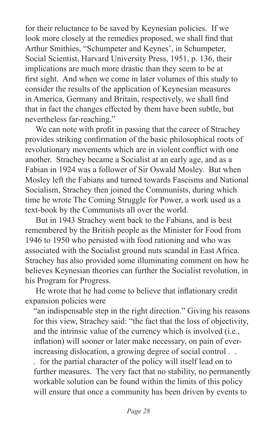for their reluctance to be saved by Keynesian policies. If we look more closely at the remedies proposed, we shall find that Arthur Smithies, "Schumpeter and Keynes', in Schumpeter, Social Scientist, Harvard University Press, 1951, p. 136, their implications are much more drastic than they seem to be at first sight. And when we come in later volumes of this study to consider the results of the application of Keynesian measures in America, Germany and Britain, respectively, we shall find that in fact the changes effected by them have been subtle, but nevertheless far-reaching."

 We can note with profit in passing that the career of Strachey provides striking confirmation of the basic philosophical roots of revolutionary movements which are in violent conflict with one another. Strachey became a Socialist at an early age, and as a Fabian in 1924 was a follower of Sir Oswald Mosley. But when Mosley left the Fabians and turned towards Fascisms and National Socialism, Strachey then joined the Communists, during which time he wrote The Coming Struggle for Power, a work used as a text-book by the Communists all over the world.

 But in 1943 Strachey went back to the Fabians, and is best remembered by the British people as the Minister for Food from 1946 to 1950 who persisted with food rationing and who was associated with the Socialist ground nuts scandal in East Africa. Strachey has also provided some illuminating comment on how he believes Keynesian theories can further the Socialist revolution, in his Program for Progress.

 He wrote that he had come to believe that inflationary credit expansion policies were

"an indispensable step in the right direction." Giving his reasons for this view, Strachey said: "the fact that the loss of objectivity, and the intrinsic value of the currency which is involved (i.e., inflation) will sooner or later make necessary, on pain of everincreasing dislocation, a growing degree of social control . .

. for the partial character of the policy will itself lead on to further measures. The very fact that no stability, no permanently workable solution can be found within the limits of this policy will ensure that once a community has been driven by events to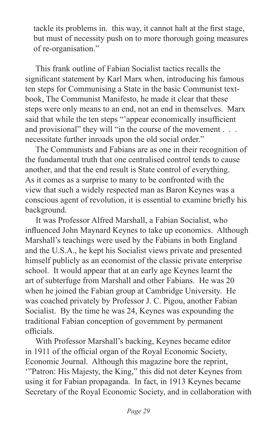tackle its problems in. this way, it cannot halt at the first stage, but must of necessity push on to more thorough going measures of re-organisation."

 This frank outline of Fabian Socialist tactics recalls the significant statement by Karl Marx when, introducing his famous ten steps for Communising a State in the basic Communist textbook, The Communist Manifesto, he made it clear that these steps were only means to an end, not an end in themselves. Marx said that while the ten steps "'appear economically insufficient and provisional" they will "in the course of the movement . . . necessitate further inroads upon the old social order."

 The Communists and Fabians are as one in their recognition of the fundamental truth that one centralised control tends to cause another, and that the end result is State control of everything. As it comes as a surprise to many to be confronted with the view that such a widely respected man as Baron Keynes was a conscious agent of revolution, it is essential to examine briefly his background.

 It was Professor Alfred Marshall, a Fabian Socialist, who influenced John Maynard Keynes to take up economics. Although Marshall's teachings were used by the Fabians in both England and the U.S.A., he kept his Socialist views private and presented himself publicly as an economist of the classic private enterprise school. It would appear that at an early age Keynes learnt the art of subterfuge from Marshall and other Fabians. He was 20 when he joined the Fabian group at Cambridge University. He was coached privately by Professor J. C. Pigou, another Fabian Socialist. By the time he was 24, Keynes was expounding the traditional Fabian conception of government by permanent officials.

 With Professor Marshall's backing, Keynes became editor in 1911 of the official organ of the Royal Economic Society, Economic Journal. Although this magazine bore the reprint, '"Patron: His Majesty, the King," this did not deter Keynes from using it for Fabian propaganda. In fact, in 1913 Keynes became Secretary of the Royal Economic Society, and in collaboration with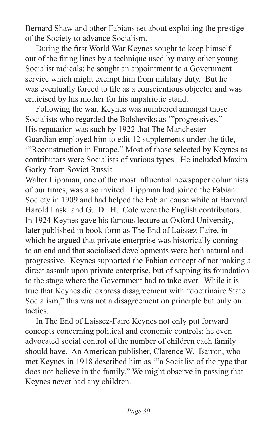Bernard Shaw and other Fabians set about exploiting the prestige of the Society to advance Socialism.

 During the first World War Keynes sought to keep himself out of the firing lines by a technique used by many other young Socialist radicals: he sought an appointment to a Government service which might exempt him from military duty. But he was eventually forced to file as a conscientious objector and was criticised by his mother for his unpatriotic stand.

 Following the war, Keynes was numbered amongst those Socialists who regarded the Bolsheviks as '"progressives." His reputation was such by 1922 that The Manchester Guardian employed him to edit 12 supplements under the title, '"Reconstruction in Europe." Most of those selected by Keynes as contributors were Socialists of various types. He included Maxim Gorky from Soviet Russia.

Walter Lippman, one of the most influential newspaper columnists of our times, was also invited. Lippman had joined the Fabian Society in 1909 and had helped the Fabian cause while at Harvard. Harold Laski and G. D. H. Cole were the English contributors. In 1924 Keynes gave his famous lecture at Oxford University, later published in book form as The End of Laissez-Faire, in which he argued that private enterprise was historically coming to an end and that socialised developments were both natural and progressive. Keynes supported the Fabian concept of not making a direct assault upon private enterprise, but of sapping its foundation to the stage where the Government had to take over. While it is true that Keynes did express disagreement with "doctrinaire State Socialism," this was not a disagreement on principle but only on tactics.

 In The End of Laissez-Faire Keynes not only put forward concepts concerning political and economic controls; he even advocated social control of the number of children each family should have. An American publisher, Clarence W. Barron, who met Keynes in 1918 described him as '"a Socialist of the type that does not believe in the family." We might observe in passing that Keynes never had any children.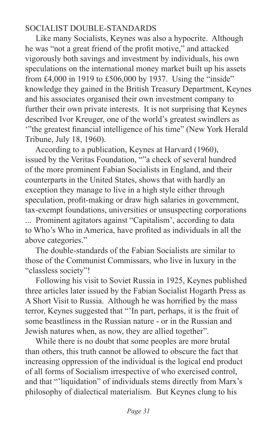#### SOCIALIST DOUBLE-STANDARDS

 Like many Socialists, Keynes was also a hypocrite. Although he was "not a great friend of the profit motive," and attacked vigorously both savings and investment by individuals, his own speculations on the international money market built up his assets from £4,000 in 1919 to £506,000 by 1937. Using the "inside" knowledge they gained in the British Treasury Department, Keynes and his associates organised their own investment company to further their own private interests. It is not surprising that Keynes described Ivor Kreuger, one of the world's greatest swindlers as '"the greatest financial intelligence of his time" (New York Herald Tribune, July 18, 1960).

 According to a publication, Keynes at Harvard (1960), issued by the Veritas Foundation, ""a check of several hundred of the more prominent Fabian Socialists in England, and their counterparts in the United States, shows that with hardly an exception they manage to live in a high style either through speculation, profit-making or draw high salaries in government, tax-exempt foundations, universities or unsuspecting corporations ... Prominent agitators against "Capitalism', according to data to Who's Who in America, have profited as individuals in all the above categories."

 The double-standards of the Fabian Socialists are similar to those of the Communist Commissars, who live in luxury in the "classless society"!

 Following his visit to Soviet Russia in 1925, Keynes published three articles later issued by the Fabian Socialist Hogarth Press as A Short Visit to Russia. Although he was horrified by the mass terror, Keynes suggested that "'In part, perhaps, it is the fruit of some beastliness in the Russian nature - or in the Russian and Jewish natures when, as now, they are allied together".

 While there is no doubt that some peoples are more brutal than others, this truth cannot be allowed to obscure the fact that increasing oppression of the individual is the logical end product of all forms of Socialism irrespective of who exercised control, and that "'liquidation" of individuals stems directly from Marx's philosophy of dialectical materialism. But Keynes clung to his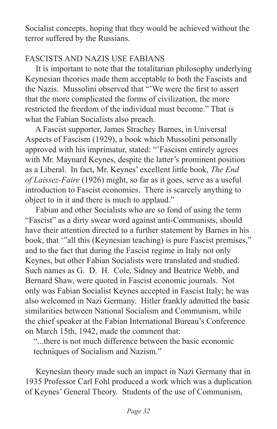Socialist concepts, hoping that they would be achieved without the terror suffered by the Russians.

### FASCISTS AND NAZIS USE FABIANS

 It is important to note that the totalitarian philosophy underlying Keynesian theories made them acceptable to both the Fascists and the Nazis. Mussolini observed that "'We were the first to assert that the more complicated the forms of civilization, the more restricted the freedom of the individual must become." That is what the Fabian Socialists also preach.

 A Fascist supporter, James Strachey Barnes, in Universal Aspects of Fascism (1929), a book which Mussolini personally approved with his imprimatur, stated: "'Fascism entirely agrees with Mr. Maynard Keynes, despite the latter's prominent position as a Liberal. In fact, Mr. Keynes' excellent little book, *The End of Laissez-Faire* (1926) might, so far as it goes, serve as a useful introduction to Fascist economies. There is scarcely anything to object to in it and there is much to applaud."

 Fabian and other Socialists who are so fond of using the term "Fascist" as a dirty swear word against anti-Communists, should have their attention directed to a further statement by Barnes in his book, that '"all this (Keynesian teaching) is pure Fascist premises," and to the fact that during the Fascist regime in Italy not only Keynes, but other Fabian Socialists were translated and studied. Such names as G. D. H. Cole, Sidney and Beatrice Webb, and Bernard Shaw, were quoted in Fascist economic journals. Not only was Fabian Socialist Keynes accepted in Fascist Italy; he was also welcomed in Nazi Germany. Hitler frankly admitted the basic similarities between National Socialism and Communism, while the chief speaker at the Fabian International Bureau's Conference on March 15th, 1942, made the comment that:

"...there is not much difference between the basic economic techniques of Socialism and Nazism."

 Keynesian theory made such an impact in Nazi Germany that in 1935 Professor Carl Fohl produced a work which was a duplication of Keynes' General Theory. Students of the use of Communism,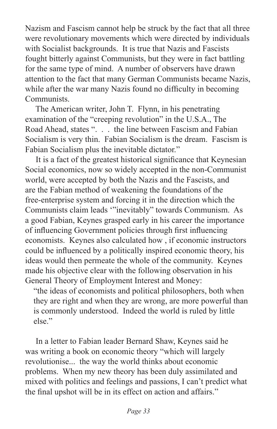Nazism and Fascism cannot help be struck by the fact that all three were revolutionary movements which were directed by individuals with Socialist backgrounds. It is true that Nazis and Fascists fought bitterly against Communists, but they were in fact battling for the same type of mind. A number of observers have drawn attention to the fact that many German Communists became Nazis, while after the war many Nazis found no difficulty in becoming Communists.

 The American writer, John T. Flynn, in his penetrating examination of the "creeping revolution" in the U.S.A., The Road Ahead, states ". . . the line between Fascism and Fabian Socialism is very thin. Fabian Socialism is the dream. Fascism is Fabian Socialism plus the inevitable dictator."

 It is a fact of the greatest historical significance that Keynesian Social economics, now so widely accepted in the non-Communist world, were accepted by both the Nazis and the Fascists, and are the Fabian method of weakening the foundations of the free-enterprise system and forcing it in the direction which the Communists claim leads '"inevitably" towards Communism. As a good Fabian, Keynes grasped early in his career the importance of influencing Government policies through first influencing economists. Keynes also calculated how , if economic instructors could be influenced by a politically inspired economic theory, his ideas would then permeate the whole of the community. Keynes made his objective clear with the following observation in his General Theory of Employment Interest and Money:

"the ideas of economists and political philosophers, both when they are right and when they are wrong, are more powerful than is commonly understood. Indeed the world is ruled by little else."

 In a letter to Fabian leader Bernard Shaw, Keynes said he was writing a book on economic theory "which will largely revolutionise... the way the world thinks about economic problems. When my new theory has been duly assimilated and mixed with politics and feelings and passions, I can't predict what the final upshot will be in its effect on action and affairs."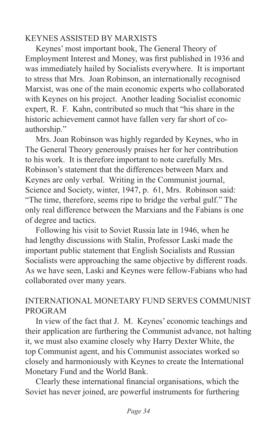### KEYNES ASSISTED BY MARXISTS

 Keynes' most important book, The General Theory of Employment Interest and Money, was first published in 1936 and was immediately hailed by Socialists everywhere. It is important to stress that Mrs. Joan Robinson, an internationally recognised Marxist, was one of the main economic experts who collaborated with Keynes on his project. Another leading Socialist economic expert, R. F. Kahn, contributed so much that "his share in the historic achievement cannot have fallen very far short of coauthorship."

 Mrs. Joan Robinson was highly regarded by Keynes, who in The General Theory generously praises her for her contribution to his work. It is therefore important to note carefully Mrs. Robinson's statement that the differences between Marx and Keynes are only verbal. Writing in the Communist journal, Science and Society, winter, 1947, p. 61, Mrs. Robinson said: "The time, therefore, seems ripe to bridge the verbal gulf." The only real difference between the Marxians and the Fabians is one of degree and tactics.

 Following his visit to Soviet Russia late in 1946, when he had lengthy discussions with Stalin, Professor Laski made the important public statement that English Socialists and Russian Socialists were approaching the same objective by different roads. As we have seen, Laski and Keynes were fellow-Fabians who had collaborated over many years.

### INTERNATIONAL MONETARY FUND SERVES COMMUNIST PROGRAM

 In view of the fact that J. M. Keynes' economic teachings and their application are furthering the Communist advance, not halting it, we must also examine closely why Harry Dexter White, the top Communist agent, and his Communist associates worked so closely and harmoniously with Keynes to create the International Monetary Fund and the World Bank.

 Clearly these international financial organisations, which the Soviet has never joined, are powerful instruments for furthering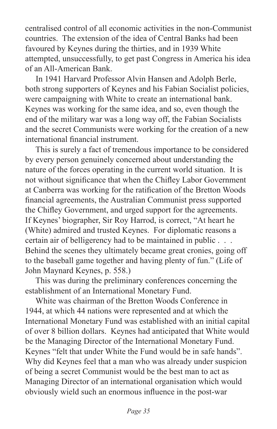centralised control of all economic activities in the non-Communist countries. The extension of the idea of Central Banks had been favoured by Keynes during the thirties, and in 1939 White attempted, unsuccessfully, to get past Congress in America his idea of an All-American Bank.

 In 1941 Harvard Professor Alvin Hansen and Adolph Berle, both strong supporters of Keynes and his Fabian Socialist policies, were campaigning with White to create an international bank. Keynes was working for the same idea, and so, even though the end of the military war was a long way off, the Fabian Socialists and the secret Communists were working for the creation of a new international financial instrument.

 This is surely a fact of tremendous importance to be considered by every person genuinely concerned about understanding the nature of the forces operating in the current world situation. It is not without significance that when the Chifley Labor Government at Canberra was working for the ratification of the Bretton Woods financial agreements, the Australian Communist press supported the Chifley Government, and urged support for the agreements. If Keynes' biographer, Sir Roy Harrod, is correct, "At heart he (White) admired and trusted Keynes. For diplomatic reasons a certain air of belligerency had to be maintained in public . . . Behind the scenes they ultimately became great cronies, going off to the baseball game together and having plenty of fun." (Life of John Maynard Keynes, p. 558.)

 This was during the preliminary conferences concerning the establishment of an International Monetary Fund.

 White was chairman of the Bretton Woods Conference in 1944, at which 44 nations were represented and at which the International Monetary Fund was established with an initial capital of over 8 billion dollars. Keynes had anticipated that White would be the Managing Director of the International Monetary Fund. Keynes "felt that under White the Fund would be in safe hands". Why did Keynes feel that a man who was already under suspicion of being a secret Communist would be the best man to act as Managing Director of an international organisation which would obviously wield such an enormous influence in the post-war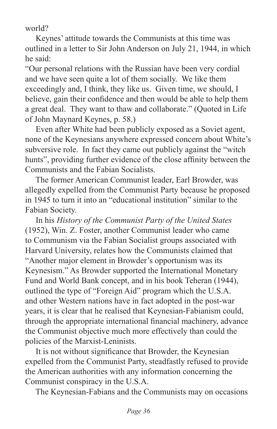world?

 Keynes' attitude towards the Communists at this time was outlined in a letter to Sir John Anderson on July 21, 1944, in which he said:

"Our personal relations with the Russian have been very cordial and we have seen quite a lot of them socially. We like them exceedingly and, I think, they like us. Given time, we should, I believe, gain their confidence and then would be able to help them a great deal. They want to thaw and collaborate." (Quoted in Life of John Maynard Keynes, p. 58.)

 Even after White had been publicly exposed as a Soviet agent, none of the Keynesians anywhere expressed concern about White's subversive role. In fact they came out publicly against the "witch hunts", providing further evidence of the close affinity between the Communists and the Fabian Socialists.

 The former American Communist leader, Earl Browder, was allegedly expelled from the Communist Party because he proposed in 1945 to turn it into an "educational institution" similar to the Fabian Society.

 In his *History of the Communist Party of the United States* (1952), Win. Z. Foster, another Communist leader who came to Communism via the Fabian Socialist groups associated with Harvard University, relates how the Communists claimed that "Another major element in Browder's opportunism was its Keynesism." As Browder supported the International Monetary Fund and World Bank concept, and in his book Teheran (1944), outlined the type of "Foreign Aid" program which the U.S.A. and other Western nations have in fact adopted in the post-war years, it is clear that he realised that Keynesian-Fabianism could, through the appropriate international financial machinery, advance the Communist objective much more effectively than could the policies of the Marxist-Leninists.

 It is not without significance that Browder, the Keynesian expelled from the Communist Party, steadfastly refused to provide the American authorities with any information concerning the Communist conspiracy in the U.S.A.

The Keynesian-Fabians and the Communists may on occasions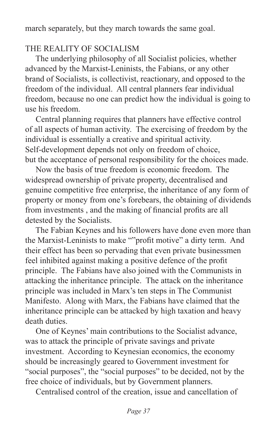march separately, but they march towards the same goal.

### THE REALITY OF SOCIALISM

 The underlying philosophy of all Socialist policies, whether advanced by the Marxist-Leninists, the Fabians, or any other brand of Socialists, is collectivist, reactionary, and opposed to the freedom of the individual. All central planners fear individual freedom, because no one can predict how the individual is going to use his freedom.

 Central planning requires that planners have effective control of all aspects of human activity. The exercising of freedom by the individual is essentially a creative and spiritual activity. Self-development depends not only on freedom of choice, but the acceptance of personal responsibility for the choices made.

 Now the basis of true freedom is economic freedom. The widespread ownership of private property, decentralised and genuine competitive free enterprise, the inheritance of any form of property or money from one's forebears, the obtaining of dividends from investments , and the making of financial profits are all detested by the Socialists.

 The Fabian Keynes and his followers have done even more than the Marxist-Leninists to make ""profit motive" a dirty term. And their effect has been so pervading that even private businessmen feel inhibited against making a positive defence of the profit principle. The Fabians have also joined with the Communists in attacking the inheritance principle. The attack on the inheritance principle was included in Marx's ten steps in The Communist Manifesto. Along with Marx, the Fabians have claimed that the inheritance principle can be attacked by high taxation and heavy death duties.

 One of Keynes' main contributions to the Socialist advance, was to attack the principle of private savings and private investment. According to Keynesian economics, the economy should be increasingly geared to Government investment for "social purposes", the "social purposes" to be decided, not by the free choice of individuals, but by Government planners.

Centralised control of the creation, issue and cancellation of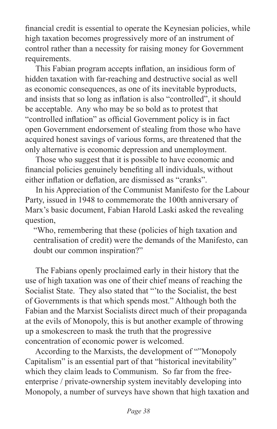financial credit is essential to operate the Keynesian policies, while high taxation becomes progressively more of an instrument of control rather than a necessity for raising money for Government requirements.

 This Fabian program accepts inflation, an insidious form of hidden taxation with far-reaching and destructive social as well as economic consequences, as one of its inevitable byproducts, and insists that so long as inflation is also "controlled", it should be acceptable. Any who may be so bold as to protest that "controlled inflation" as official Government policy is in fact open Government endorsement of stealing from those who have acquired honest savings of various forms, are threatened that the only alternative is economic depression and unemployment.

 Those who suggest that it is possible to have economic and financial policies genuinely benefiting all individuals, without either inflation or deflation, are dismissed as "cranks".

 In his Appreciation of the Communist Manifesto for the Labour Party, issued in 1948 to commemorate the 100th anniversary of Marx's basic document, Fabian Harold Laski asked the revealing question,

"Who, remembering that these (policies of high taxation and centralisation of credit) were the demands of the Manifesto, can doubt our common inspiration?"

 The Fabians openly proclaimed early in their history that the use of high taxation was one of their chief means of reaching the Socialist State. They also stated that "'to the Socialist, the best of Governments is that which spends most." Although both the Fabian and the Marxist Socialists direct much of their propaganda at the evils of Monopoly, this is but another example of throwing up a smokescreen to mask the truth that the progressive concentration of economic power is welcomed.

 According to the Marxists, the development of ""Monopoly Capitalism" is an essential part of that "historical inevitability" which they claim leads to Communism. So far from the freeenterprise / private-ownership system inevitably developing into Monopoly, a number of surveys have shown that high taxation and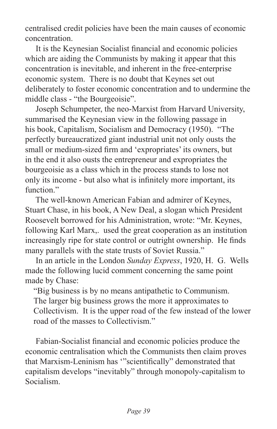centralised credit policies have been the main causes of economic concentration.

 It is the Keynesian Socialist financial and economic policies which are aiding the Communists by making it appear that this concentration is inevitable, and inherent in the free-enterprise economic system. There is no doubt that Keynes set out deliberately to foster economic concentration and to undermine the middle class - "the Bourgeoisie".

 Joseph Schumpeter, the neo-Marxist from Harvard University, summarised the Keynesian view in the following passage in his book, Capitalism, Socialism and Democracy (1950). "The perfectly bureaucratized giant industrial unit not only ousts the small or medium-sized firm and 'expropriates' its owners, but in the end it also ousts the entrepreneur and expropriates the bourgeoisie as a class which in the process stands to lose not only its income - but also what is infinitely more important, its function."

 The well-known American Fabian and admirer of Keynes, Stuart Chase, in his book, A New Deal, a slogan which President Roosevelt borrowed for his Administration, wrote: "Mr. Keynes, following Karl Marx,. used the great cooperation as an institution increasingly ripe for state control or outright ownership. He finds many parallels with the state trusts of Soviet Russia."

 In an article in the London *Sunday Express*, 1920, H. G. Wells made the following lucid comment concerning the same point made by Chase:

"Big business is by no means antipathetic to Communism. The larger big business grows the more it approximates to Collectivism. It is the upper road of the few instead of the lower road of the masses to Collectivism."

 Fabian-Socialist financial and economic policies produce the economic centralisation which the Communists then claim proves that Marxism-Leninism has '"scientifically" demonstrated that capitalism develops "inevitably" through monopoly-capitalism to Socialism.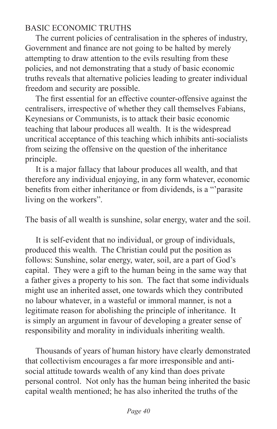### BASIC ECONOMIC TRUTHS

 The current policies of centralisation in the spheres of industry, Government and finance are not going to be halted by merely attempting to draw attention to the evils resulting from these policies, and not demonstrating that a study of basic economic truths reveals that alternative policies leading to greater individual freedom and security are possible.

 The first essential for an effective counter-offensive against the centralisers, irrespective of whether they call themselves Fabians, Keynesians or Communists, is to attack their basic economic teaching that labour produces all wealth. It is the widespread uncritical acceptance of this teaching which inhibits anti-socialists from seizing the offensive on the question of the inheritance principle.

 It is a major fallacy that labour produces all wealth, and that therefore any individual enjoying, in any form whatever, economic benefits from either inheritance or from dividends, is a "'parasite living on the workers".

The basis of all wealth is sunshine, solar energy, water and the soil.

 It is self-evident that no individual, or group of individuals, produced this wealth. The Christian could put the position as follows: Sunshine, solar energy, water, soil, are a part of God's capital. They were a gift to the human being in the same way that a father gives a property to his son. The fact that some individuals might use an inherited asset, one towards which they contributed no labour whatever, in a wasteful or immoral manner, is not a legitimate reason for abolishing the principle of inheritance. It is simply an argument in favour of developing a greater sense of responsibility and morality in individuals inheriting wealth.

 Thousands of years of human history have clearly demonstrated that collectivism encourages a far more irresponsible and antisocial attitude towards wealth of any kind than does private personal control. Not only has the human being inherited the basic capital wealth mentioned; he has also inherited the truths of the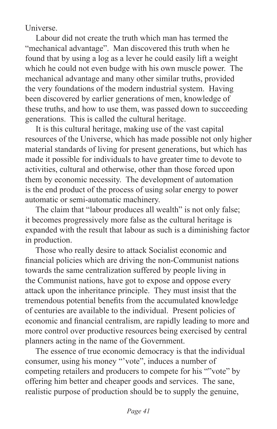Universe.

 Labour did not create the truth which man has termed the "mechanical advantage". Man discovered this truth when he found that by using a log as a lever he could easily lift a weight which he could not even budge with his own muscle power. The mechanical advantage and many other similar truths, provided the very foundations of the modern industrial system. Having been discovered by earlier generations of men, knowledge of these truths, and how to use them, was passed down to succeeding generations. This is called the cultural heritage.

 It is this cultural heritage, making use of the vast capital resources of the Universe, which has made possible not only higher material standards of living for present generations, but which has made it possible for individuals to have greater time to devote to activities, cultural and otherwise, other than those forced upon them by economic necessity. The development of automation is the end product of the process of using solar energy to power automatic or semi-automatic machinery.

 The claim that "labour produces all wealth" is not only false; it becomes progressively more false as the cultural heritage is expanded with the result that labour as such is a diminishing factor in production.

 Those who really desire to attack Socialist economic and financial policies which are driving the non-Communist nations towards the same centralization suffered by people living in the Communist nations, have got to expose and oppose every attack upon the inheritance principle. They must insist that the tremendous potential benefits from the accumulated knowledge of centuries are available to the individual. Present policies of economic and financial centralism, are rapidly leading to more and more control over productive resources being exercised by central planners acting in the name of the Government.

 The essence of true economic democracy is that the individual consumer, using his money "'vote", induces a number of competing retailers and producers to compete for his ""vote" by offering him better and cheaper goods and services. The sane, realistic purpose of production should be to supply the genuine,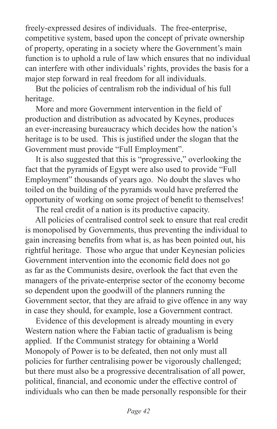freely-expressed desires of individuals. The free-enterprise, competitive system, based upon the concept of private ownership of property, operating in a society where the Government's main function is to uphold a rule of law which ensures that no individual can interfere with other individuals' rights, provides the basis for a major step forward in real freedom for all individuals.

 But the policies of centralism rob the individual of his full heritage.

 More and more Government intervention in the field of production and distribution as advocated by Keynes, produces an ever-increasing bureaucracy which decides how the nation's heritage is to be used. This is justified under the slogan that the Government must provide "Full Employment".

 It is also suggested that this is "progressive," overlooking the fact that the pyramids of Egypt were also used to provide "Full Employment" thousands of years ago. No doubt the slaves who toiled on the building of the pyramids would have preferred the opportunity of working on some project of benefit to themselves!

The real credit of a nation is its productive capacity.

 All policies of centralised control seek to ensure that real credit is monopolised by Governments, thus preventing the individual to gain increasing benefits from what is, as has been pointed out, his rightful heritage. Those who argue that under Keynesian policies Government intervention into the economic field does not go as far as the Communists desire, overlook the fact that even the managers of the private-enterprise sector of the economy become so dependent upon the goodwill of the planners running the Government sector, that they are afraid to give offence in any way in case they should, for example, lose a Government contract.

 Evidence of this development is already mounting in every Western nation where the Fabian tactic of gradualism is being applied. If the Communist strategy for obtaining a World Monopoly of Power is to be defeated, then not only must all policies for further centralising power be vigorously challenged; but there must also be a progressive decentralisation of all power, political, financial, and economic under the effective control of individuals who can then be made personally responsible for their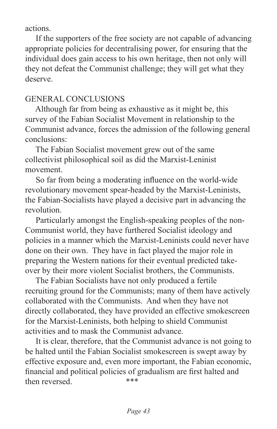actions.

 If the supporters of the free society are not capable of advancing appropriate policies for decentralising power, for ensuring that the individual does gain access to his own heritage, then not only will they not defeat the Communist challenge; they will get what they deserve.

#### GENERAL CONCLUSIONS

 Although far from being as exhaustive as it might be, this survey of the Fabian Socialist Movement in relationship to the Communist advance, forces the admission of the following general conclusions:

 The Fabian Socialist movement grew out of the same collectivist philosophical soil as did the Marxist-Leninist movement.

 So far from being a moderating influence on the world-wide revolutionary movement spear-headed by the Marxist-Leninists, the Fabian-Socialists have played a decisive part in advancing the revolution.

 Particularly amongst the English-speaking peoples of the non-Communist world, they have furthered Socialist ideology and policies in a manner which the Marxist-Leninists could never have done on their own. They have in fact played the major role in preparing the Western nations for their eventual predicted takeover by their more violent Socialist brothers, the Communists.

 The Fabian Socialists have not only produced a fertile recruiting ground for the Communists; many of them have actively collaborated with the Communists. And when they have not directly collaborated, they have provided an effective smokescreen for the Marxist-Leninists, both helping to shield Communist activities and to mask the Communist advance.

 It is clear, therefore, that the Communist advance is not going to be halted until the Fabian Socialist smokescreen is swept away by effective exposure and, even more important, the Fabian economic, financial and political policies of gradualism are first halted and then reversed \*\*\*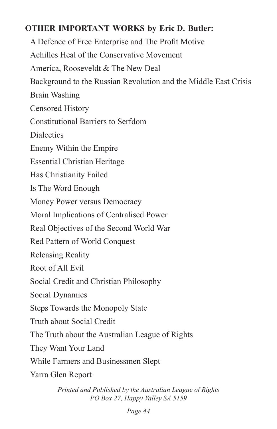## **OTHER IMPORTANT WORKS by Eric D. Butler:**

A Defence of Free Enterprise and The Profit Motive Achilles Heal of the Conservative Movement America, Rooseveldt & The New Deal Background to the Russian Revolution and the Middle East Crisis Brain Washing Censored History Constitutional Barriers to Serfdom **Dialectics** Enemy Within the Empire Essential Christian Heritage Has Christianity Failed Is The Word Enough Money Power versus Democracy Moral Implications of Centralised Power Real Objectives of the Second World War Red Pattern of World Conquest Releasing Reality Root of All Evil Social Credit and Christian Philosophy Social Dynamics Steps Towards the Monopoly State Truth about Social Credit The Truth about the Australian League of Rights They Want Your Land While Farmers and Businessmen Slept Yarra Glen Report

> *Printed and Published by the Australian League of Rights PO Box 27, Happy Valley SA 5159*